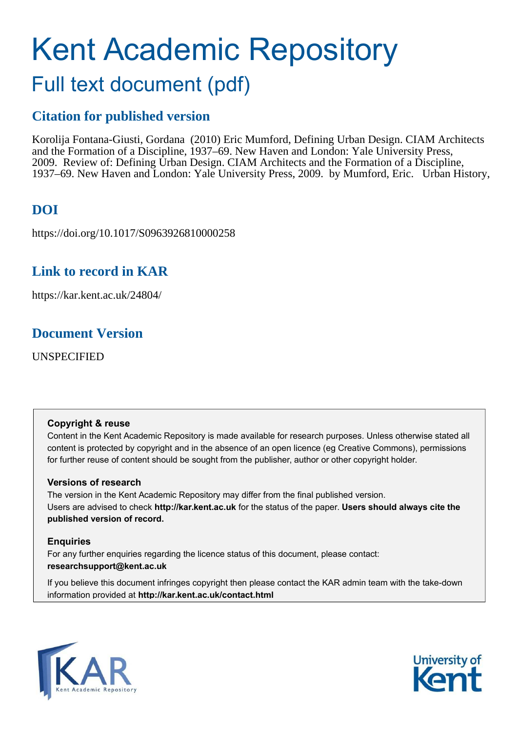# Kent Academic Repository

## Full text document (pdf)

## **Citation for published version**

Korolija Fontana-Giusti, Gordana (2010) Eric Mumford, Defining Urban Design. CIAM Architects and the Formation of a Discipline, 1937–69. New Haven and London: Yale University Press, 2009. Review of: Defining Urban Design. CIAM Architects and the Formation of a Discipline, 1937–69. New Haven and London: Yale University Press, 2009. by Mumford, Eric. Urban History,

## **DOI**

https://doi.org/10.1017/S0963926810000258

## **Link to record in KAR**

https://kar.kent.ac.uk/24804/

## **Document Version**

UNSPECIFIED

#### **Copyright & reuse**

Content in the Kent Academic Repository is made available for research purposes. Unless otherwise stated all content is protected by copyright and in the absence of an open licence (eg Creative Commons), permissions for further reuse of content should be sought from the publisher, author or other copyright holder.

#### **Versions of research**

The version in the Kent Academic Repository may differ from the final published version. Users are advised to check **http://kar.kent.ac.uk** for the status of the paper. **Users should always cite the published version of record.**

#### **Enquiries**

For any further enquiries regarding the licence status of this document, please contact: **researchsupport@kent.ac.uk**

If you believe this document infringes copyright then please contact the KAR admin team with the take-down information provided at **http://kar.kent.ac.uk/contact.html**



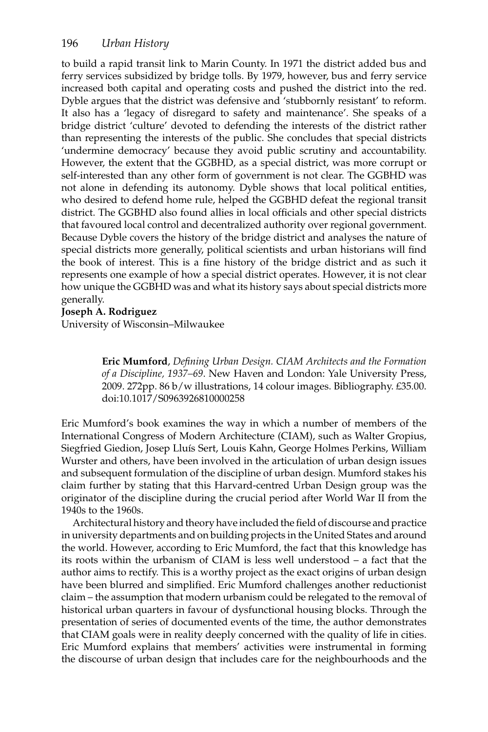to build a rapid transit link to Marin County. In 1971 the district added bus and ferry services subsidized by bridge tolls. By 1979, however, bus and ferry service increased both capital and operating costs and pushed the district into the red. Dyble argues that the district was defensive and 'stubbornly resistant' to reform. It also has a 'legacy of disregard to safety and maintenance'. She speaks of a bridge district 'culture' devoted to defending the interests of the district rather than representing the interests of the public. She concludes that special districts 'undermine democracy' because they avoid public scrutiny and accountability. However, the extent that the GGBHD, as a special district, was more corrupt or self-interested than any other form of government is not clear. The GGBHD was not alone in defending its autonomy. Dyble shows that local political entities, who desired to defend home rule, helped the GGBHD defeat the regional transit district. The GGBHD also found allies in local officials and other special districts that favoured local control and decentralized authority over regional government. Because Dyble covers the history of the bridge district and analyses the nature of special districts more generally, political scientists and urban historians will find the book of interest. This is a fine history of the bridge district and as such it represents one example of how a special district operates. However, it is not clear how unique the GGBHD was and what its history says about special districts more generally.

#### **Joseph A. Rodriguez**

University of Wisconsin–Milwaukee

**Eric Mumford**, *Defining Urban Design. CIAM Architects and the Formation of a Discipline, 1937–69*. New Haven and London: Yale University Press, 2009. 272pp. 86 b/w illustrations, 14 colour images. Bibliography. £35.00. doi:10.1017/S0963926810000258

Eric Mumford's book examines the way in which a number of members of the International Congress of Modern Architecture (CIAM), such as Walter Gropius, Siegfried Giedion, Josep Lluís Sert, Louis Kahn, George Holmes Perkins, William Wurster and others, have been involved in the articulation of urban design issues and subsequent formulation of the discipline of urban design. Mumford stakes his claim further by stating that this Harvard-centred Urban Design group was the originator of the discipline during the crucial period after World War II from the 1940s to the 1960s.

Architectural history and theory have included the field of discourse and practice in university departments and on building projects in the United States and around the world. However, according to Eric Mumford, the fact that this knowledge has its roots within the urbanism of CIAM is less well understood – a fact that the author aims to rectify. This is a worthy project as the exact origins of urban design have been blurred and simplified. Eric Mumford challenges another reductionist claim – the assumption that modern urbanism could be relegated to the removal of historical urban quarters in favour of dysfunctional housing blocks. Through the presentation of series of documented events of the time, the author demonstrates that CIAM goals were in reality deeply concerned with the quality of life in cities. Eric Mumford explains that members' activities were instrumental in forming the discourse of urban design that includes care for the neighbourhoods and the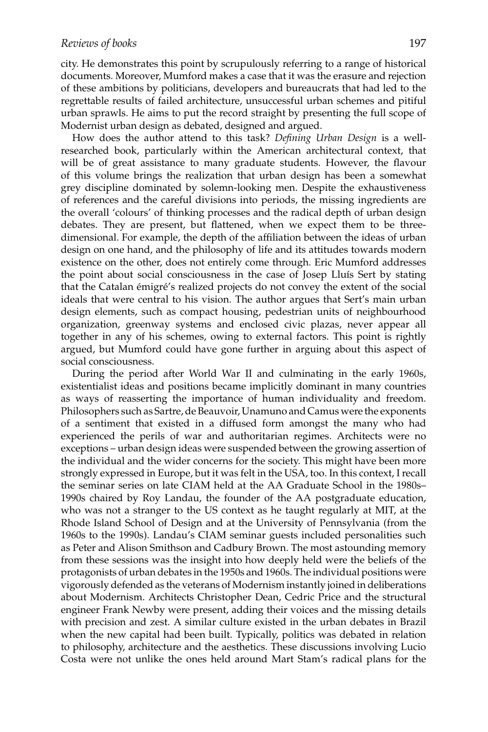city. He demonstrates this point by scrupulously referring to a range of historical documents. Moreover, Mumford makes a case that it was the erasure and rejection of these ambitions by politicians, developers and bureaucrats that had led to the regrettable results of failed architecture, unsuccessful urban schemes and pitiful urban sprawls. He aims to put the record straight by presenting the full scope of Modernist urban design as debated, designed and argued.

How does the author attend to this task? *Defining Urban Design* is a wellresearched book, particularly within the American architectural context, that will be of great assistance to many graduate students. However, the flavour of this volume brings the realization that urban design has been a somewhat grey discipline dominated by solemn-looking men. Despite the exhaustiveness of references and the careful divisions into periods, the missing ingredients are the overall 'colours' of thinking processes and the radical depth of urban design debates. They are present, but flattened, when we expect them to be threedimensional. For example, the depth of the affiliation between the ideas of urban design on one hand, and the philosophy of life and its attitudes towards modern existence on the other, does not entirely come through. Eric Mumford addresses the point about social consciousness in the case of Josep Lluís Sert by stating that the Catalan émigré's realized projects do not convey the extent of the social ideals that were central to his vision. The author argues that Sert's main urban design elements, such as compact housing, pedestrian units of neighbourhood organization, greenway systems and enclosed civic plazas, never appear all together in any of his schemes, owing to external factors. This point is rightly argued, but Mumford could have gone further in arguing about this aspect of social consciousness.

During the period after World War II and culminating in the early 1960s, existentialist ideas and positions became implicitly dominant in many countries as ways of reasserting the importance of human individuality and freedom. Philosophers such as Sartre, de Beauvoir, Unamuno and Camus were the exponents of a sentiment that existed in a diffused form amongst the many who had experienced the perils of war and authoritarian regimes. Architects were no exceptions – urban design ideas were suspended between the growing assertion of the individual and the wider concerns for the society. This might have been more strongly expressed in Europe, but it was felt in the USA, too. In this context, I recall the seminar series on late CIAM held at the AA Graduate School in the 1980s– 1990s chaired by Roy Landau, the founder of the AA postgraduate education, who was not a stranger to the US context as he taught regularly at MIT, at the Rhode Island School of Design and at the University of Pennsylvania (from the 1960s to the 1990s). Landau's CIAM seminar guests included personalities such as Peter and Alison Smithson and Cadbury Brown. The most astounding memory from these sessions was the insight into how deeply held were the beliefs of the protagonists of urban debates in the 1950s and 1960s. The individual positions were vigorously defended as the veterans of Modernism instantly joined in deliberations about Modernism. Architects Christopher Dean, Cedric Price and the structural engineer Frank Newby were present, adding their voices and the missing details with precision and zest. A similar culture existed in the urban debates in Brazil when the new capital had been built. Typically, politics was debated in relation to philosophy, architecture and the aesthetics. These discussions involving Lucio Costa were not unlike the ones held around Mart Stam's radical plans for the